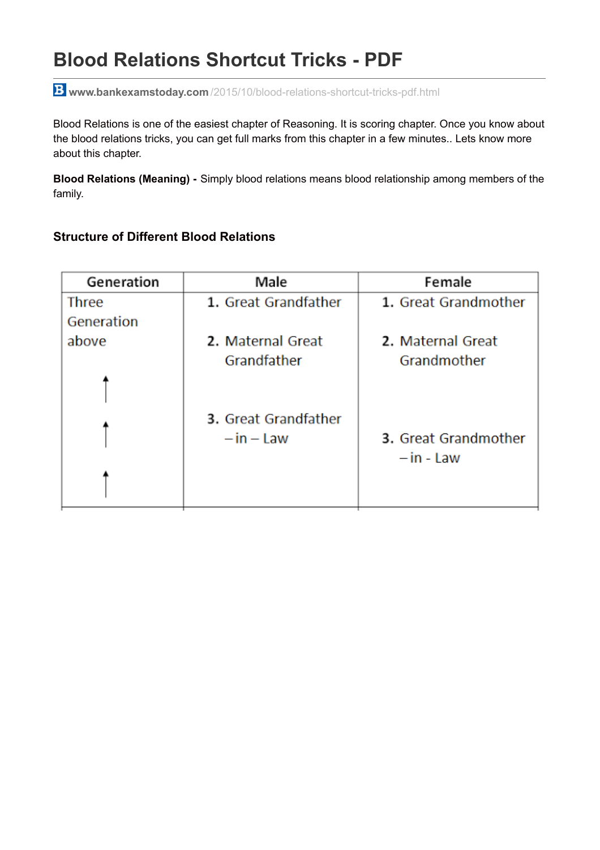# **Blood Relations Shortcut Tricks - PDF**

**www.bankexamstoday.com** [/2015/10/blood-relations-shortcut-tricks-pdf.html](http://www.bankexamstoday.com/2015/10/blood-relations-shortcut-tricks-pdf.html)

Blood Relations is one of the easiest chapter of Reasoning. It is scoring chapter. Once you know about the blood relations tricks, you can get full marks from this chapter in a few minutes.. Lets know more about this chapter.

**Blood Relations (Meaning) -** Simply blood relations means blood relationship among members of the family.

#### **Structure of Different Blood Relations**

| Generation   | Male                 | Female               |
|--------------|----------------------|----------------------|
| <b>Three</b> | 1. Great Grandfather | 1. Great Grandmother |
| Generation   |                      |                      |
| above        | 2. Maternal Great    | 2. Maternal Great    |
|              | Grandfather          | Grandmother          |
|              |                      |                      |
|              | 3. Great Grandfather |                      |
|              | $-$ in $-$ Law       | 3. Great Grandmother |
|              |                      | $-$ in - Law         |
|              |                      |                      |
|              |                      |                      |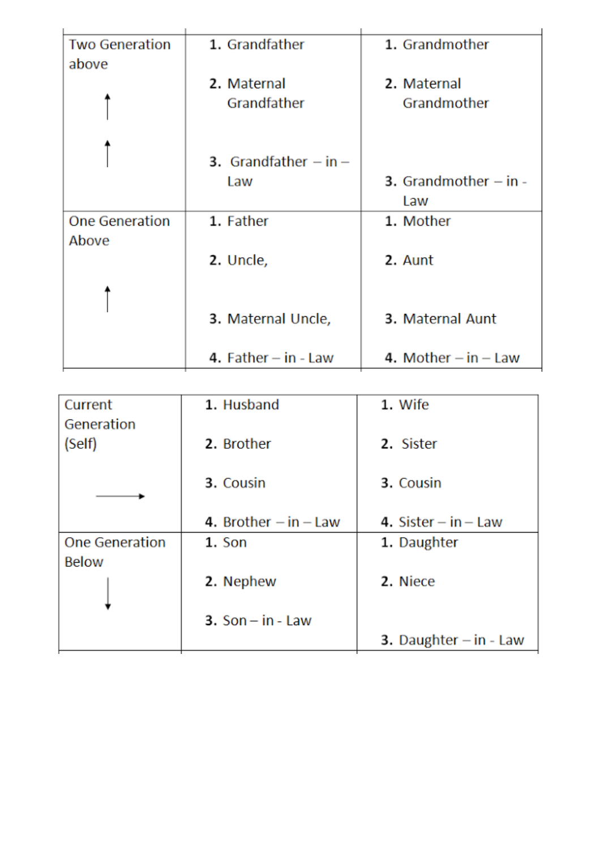| <b>Two Generation</b><br>above | 1. Grandfather                   | 1. Grandmother                   |
|--------------------------------|----------------------------------|----------------------------------|
|                                | 2. Maternal                      | 2. Maternal                      |
|                                | Grandfather                      | Grandmother                      |
|                                |                                  |                                  |
|                                | <b>3.</b> Grandfather $-$ in $-$ |                                  |
|                                | Law                              | <b>3.</b> Grandmother $-$ in $-$ |
|                                |                                  | Law                              |
| <b>One Generation</b><br>Above | 1. Father                        | 1. Mother                        |
|                                | 2. Uncle,                        | 2. Aunt                          |
|                                |                                  |                                  |
|                                | 3. Maternal Uncle,               | 3. Maternal Aunt                 |
|                                | 4. $Father - in - Law$           | 4. Mother $-$ in $-$ Law         |

| Current               | 1. Husband                | 1. Wife                           |
|-----------------------|---------------------------|-----------------------------------|
| Generation            |                           |                                   |
| (Self)                | 2. Brother                | 2. Sister                         |
|                       |                           |                                   |
|                       | 3. Cousin                 | 3. Cousin                         |
|                       |                           |                                   |
|                       | 4. Brother $-$ in $-$ Law | 4. Sister $-$ in $-$ Law          |
| <b>One Generation</b> | 1. Son                    | 1. Daughter                       |
| <b>Below</b>          |                           |                                   |
|                       | 2. Nephew                 | 2. Niece                          |
|                       |                           |                                   |
|                       | 3. $Son - in - Law$       |                                   |
|                       |                           | <b>3.</b> Daughter $-$ in $-$ Law |
|                       |                           |                                   |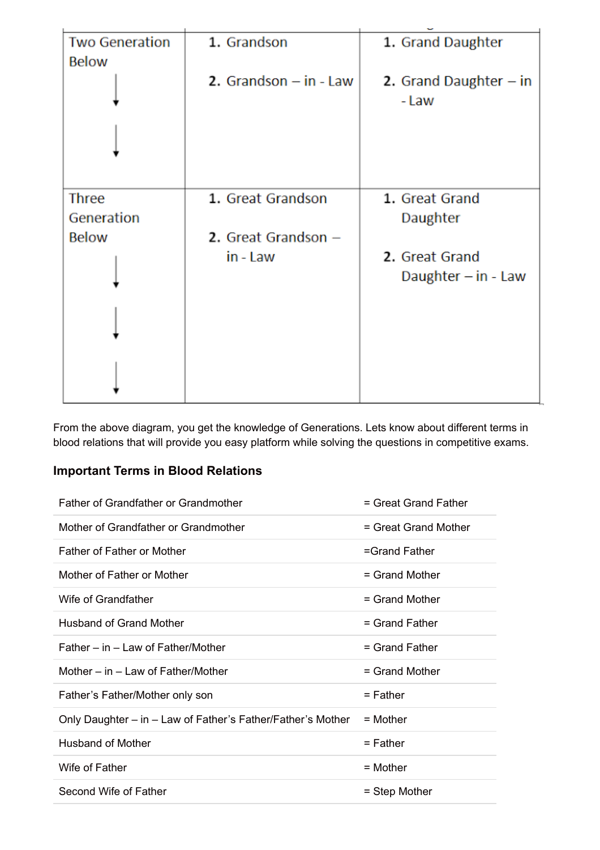| <b>Two Generation</b>               | 1. Grandson                                | 1. Grand Daughter                       |
|-------------------------------------|--------------------------------------------|-----------------------------------------|
| <b>Below</b>                        | 2. Grandson $-$ in $-$ Law                 | 2. Grand Daughter $-$ in<br>- Law       |
| Three<br>Generation<br><b>Below</b> | 1. Great Grandson<br>2. Great Grandson $-$ | 1. Great Grand<br>Daughter              |
|                                     | in - Law                                   | 2. Great Grand<br>Daughter $-$ in - Law |
|                                     |                                            |                                         |

From the above diagram, you get the knowledge of Generations. Lets know about different terms in blood relations that will provide you easy platform while solving the questions in competitive exams.

## **Important Terms in Blood Relations**

| <b>Father of Grandfather or Grandmother</b>                 | $=$ Great Grand Father |
|-------------------------------------------------------------|------------------------|
| Mother of Grandfather or Grandmother                        | = Great Grand Mother   |
| <b>Father of Father or Mother</b>                           | $=$ Grand Father       |
| Mother of Father or Mother                                  | $=$ Grand Mother       |
| Wife of Grandfather                                         | $=$ Grand Mother       |
| <b>Husband of Grand Mother</b>                              | $=$ Grand Father       |
| Father – in – Law of Father/Mother                          | $=$ Grand Father       |
| Mother $-$ in $-$ Law of Father/Mother                      | $=$ Grand Mother       |
| Father's Father/Mother only son                             | $=$ Father             |
| Only Daughter – in – Law of Father's Father/Father's Mother | $=$ Mother             |
| <b>Husband of Mother</b>                                    | $=$ Father             |
| Wife of Father                                              | $=$ Mother             |
| Second Wife of Father                                       | = Step Mother          |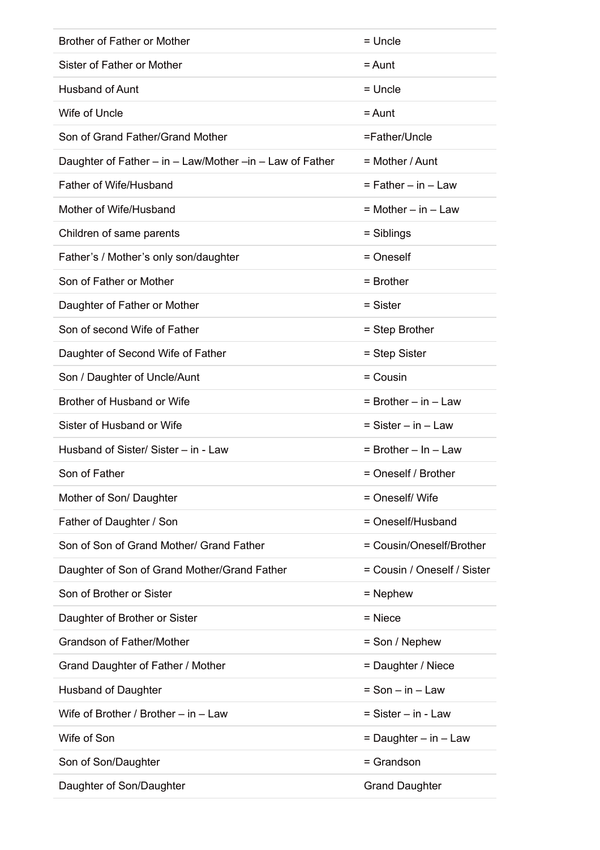| <b>Brother of Father or Mother</b>                       | = Uncle                     |
|----------------------------------------------------------|-----------------------------|
| Sister of Father or Mother                               | $=$ Aunt                    |
| <b>Husband of Aunt</b>                                   | = Uncle                     |
| Wife of Uncle                                            | = Aunt                      |
| Son of Grand Father/Grand Mother                         | =Father/Uncle               |
| Daughter of Father – in – Law/Mother –in – Law of Father | $=$ Mother / Aunt           |
| Father of Wife/Husband                                   | $=$ Father $-$ in $-$ Law   |
| Mother of Wife/Husband                                   | = Mother – in – Law         |
| Children of same parents                                 | = Siblings                  |
| Father's / Mother's only son/daughter                    | = Oneself                   |
| Son of Father or Mother                                  | $=$ Brother                 |
| Daughter of Father or Mother                             | = Sister                    |
| Son of second Wife of Father                             | = Step Brother              |
| Daughter of Second Wife of Father                        | = Step Sister               |
| Son / Daughter of Uncle/Aunt                             | = Cousin                    |
| Brother of Husband or Wife                               | $=$ Brother $-$ in $-$ Law  |
|                                                          |                             |
| Sister of Husband or Wife                                | $=$ Sister $-$ in $-$ Law   |
| Husband of Sister/ Sister – in - Law                     | $=$ Brother $-$ In $-$ Law  |
| Son of Father                                            | = Oneself / Brother         |
| Mother of Son/ Daughter                                  | = Oneself/ Wife             |
| Father of Daughter / Son                                 | = Oneself/Husband           |
| Son of Son of Grand Mother/ Grand Father                 | = Cousin/Oneself/Brother    |
| Daughter of Son of Grand Mother/Grand Father             | = Cousin / Oneself / Sister |
| Son of Brother or Sister                                 | $=$ Nephew                  |
| Daughter of Brother or Sister                            | $=$ Niece                   |
| <b>Grandson of Father/Mother</b>                         | = Son / Nephew              |
| Grand Daughter of Father / Mother                        | = Daughter / Niece          |
| <b>Husband of Daughter</b>                               | $=$ Son $-$ in $-$ Law      |
| Wife of Brother / Brother $-$ in $-$ Law                 | = Sister - in - Law         |
| Wife of Son                                              | $=$ Daughter $-$ in $-$ Law |
| Son of Son/Daughter                                      | = Grandson                  |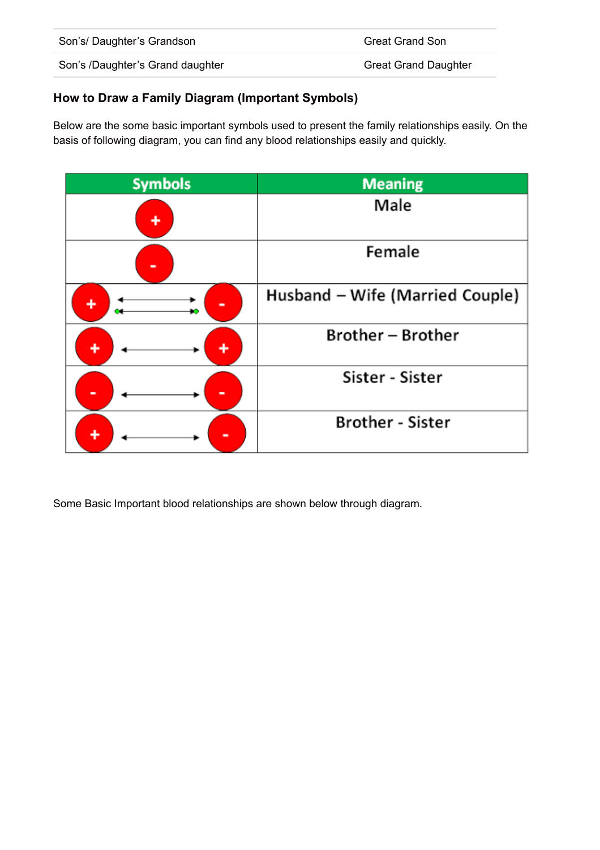| Son's/Daughter's Grandson        | <b>Great Grand Son</b>      |
|----------------------------------|-----------------------------|
| Son's /Daughter's Grand daughter | <b>Great Grand Daughter</b> |

## **How to Draw a Family Diagram (Important Symbols)**

Below are the some basic important symbols used to present the family relationships easily. On the basis of following diagram, you can find any blood relationships easily and quickly.



Some Basic Important blood relationships are shown below through diagram.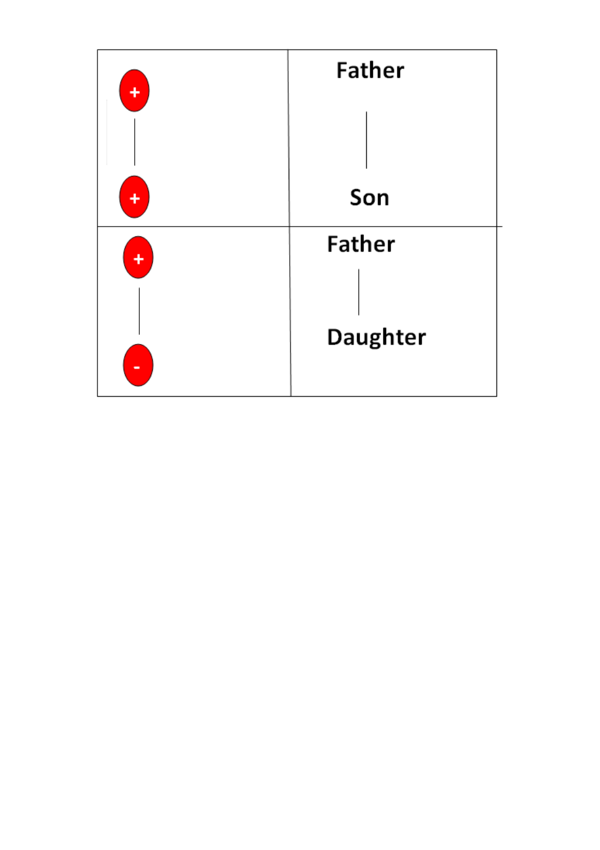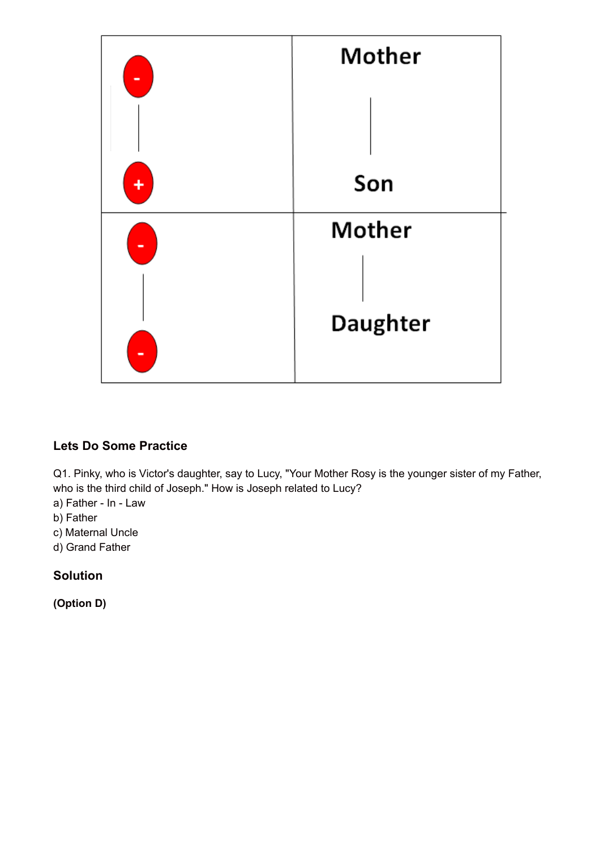

# **Lets Do Some Practice**

Q1. Pinky, who is Victor's daughter, say to Lucy, "Your Mother Rosy is the younger sister of my Father, who is the third child of Joseph." How is Joseph related to Lucy?

- a) Father In Law
- b) Father
- c) Maternal Uncle
- d) Grand Father

#### **Solution**

**(Option D)**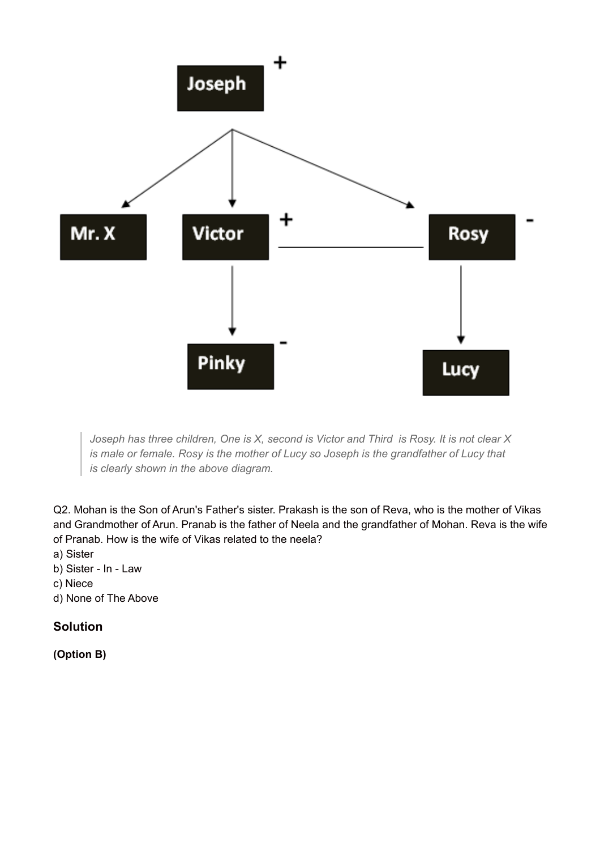

*Joseph has three children, One is X, second is Victor and Third is Rosy. It is not clear X is male or female. Rosy is the mother of Lucy so Joseph is the grandfather of Lucy that is clearly shown in the above diagram.*

Q2. Mohan is the Son of Arun's Father's sister. Prakash is the son of Reva, who is the mother of Vikas and Grandmother of Arun. Pranab is the father of Neela and the grandfather of Mohan. Reva is the wife of Pranab. How is the wife of Vikas related to the neela?

- a) Sister
- b) Sister In Law
- c) Niece
- d) None of The Above

# **Solution**

**(Option B)**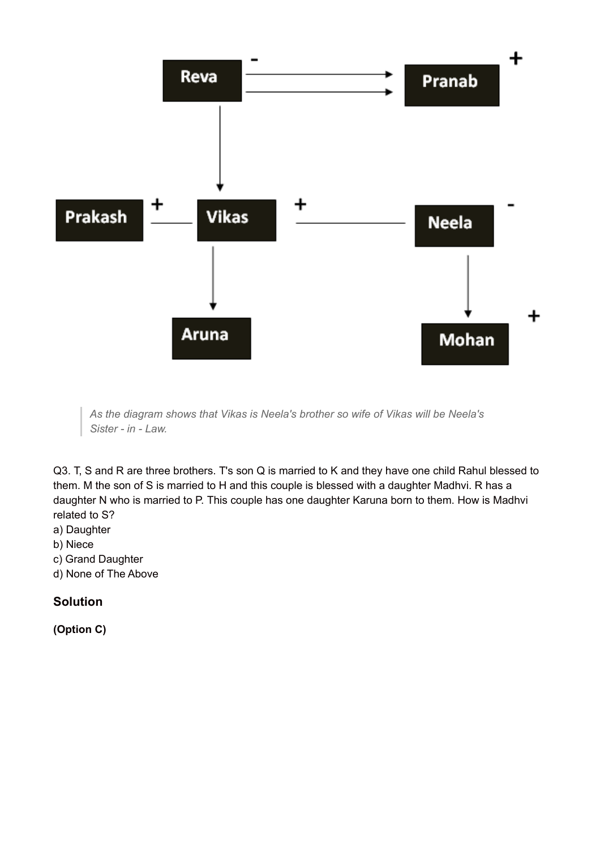

*As the diagram shows that Vikas is Neela's brother so wife of Vikas will be Neela's Sister - in - Law.*

Q3. T, S and R are three brothers. T's son Q is married to K and they have one child Rahul blessed to them. M the son of S is married to H and this couple is blessed with a daughter Madhvi. R has a daughter N who is married to P. This couple has one daughter Karuna born to them. How is Madhvi related to S?

- a) Daughter
- b) Niece
- c) Grand Daughter
- d) None of The Above

# **Solution**

**(Option C)**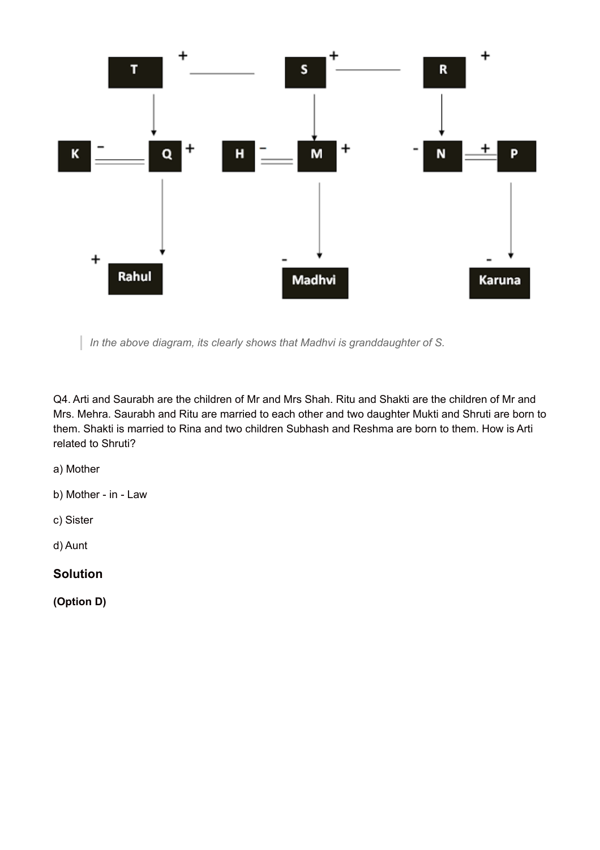

*In the above diagram, its clearly shows that Madhvi is granddaughter of S.*

Q4. Arti and Saurabh are the children of Mr and Mrs Shah. Ritu and Shakti are the children of Mr and Mrs. Mehra. Saurabh and Ritu are married to each other and two daughter Mukti and Shruti are born to them. Shakti is married to Rina and two children Subhash and Reshma are born to them. How is Arti related to Shruti?

a) Mother

b) Mother - in - Law

c) Sister

d) Aunt

**Solution**

**(Option D)**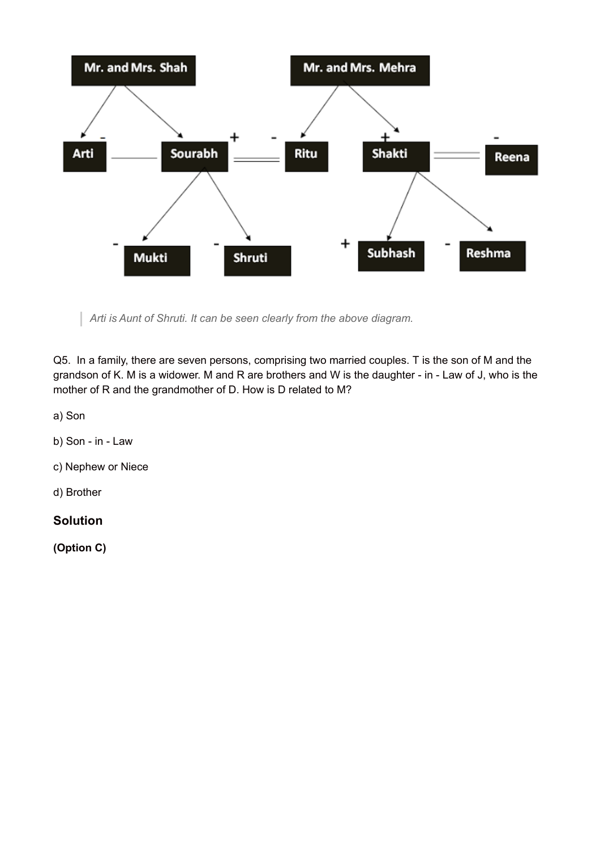

*Arti is Aunt of Shruti. It can be seen clearly from the above diagram.*

Q5. In a family, there are seven persons, comprising two married couples. T is the son of M and the grandson of K. M is a widower. M and R are brothers and W is the daughter - in - Law of J, who is the mother of R and the grandmother of D. How is D related to M?

a) Son

- b) Son in Law
- c) Nephew or Niece

d) Brother

#### **Solution**

**(Option C)**